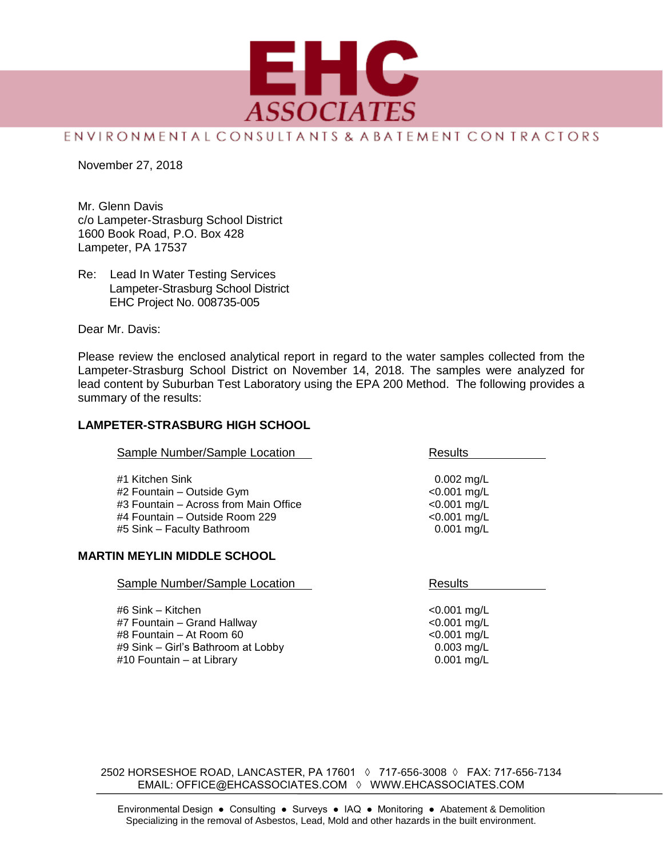

## ENVIRONMENTAL CONSULTANTS & ABATEMENT CON TRACTORS

November 27, 2018

Mr. Glenn Davis c/o Lampeter-Strasburg School District 1600 Book Road, P.O. Box 428 Lampeter, PA 17537

Re: Lead In Water Testing Services Lampeter-Strasburg School District EHC Project No. 008735-005

Dear Mr. Davis:

Please review the enclosed analytical report in regard to the water samples collected from the Lampeter-Strasburg School District on November 14, 2018. The samples were analyzed for lead content by Suburban Test Laboratory using the EPA 200 Method. The following provides a summary of the results:

## **LAMPETER-STRASBURG HIGH SCHOOL**

| Sample Number/Sample Location                                                                                                                         | Results                                                                            |
|-------------------------------------------------------------------------------------------------------------------------------------------------------|------------------------------------------------------------------------------------|
| #1 Kitchen Sink<br>#2 Fountain - Outside Gym<br>#3 Fountain - Across from Main Office<br>#4 Fountain - Outside Room 229<br>#5 Sink – Faculty Bathroom | $0.002$ mg/L<br>$< 0.001$ mg/L<br>$< 0.001$ mg/L<br>$< 0.001$ mg/L<br>$0.001$ mg/L |
|                                                                                                                                                       |                                                                                    |

## **MARTIN MEYLIN MIDDLE SCHOOL**

| Sample Number/Sample Location      | Results        |
|------------------------------------|----------------|
| #6 Sink – Kitchen                  | $< 0.001$ mg/L |
| #7 Fountain – Grand Hallway        | $< 0.001$ mg/L |
| #8 Fountain - At Room 60           | $< 0.001$ mg/L |
| #9 Sink – Girl's Bathroom at Lobby | $0.003$ mg/L   |
| #10 Fountain - at Library          | $0.001$ mg/L   |

2502 HORSESHOE ROAD, LANCASTER, PA 17601 ◊ 717-656-3008 ◊ FAX: 717-656-7134 EMAIL: OFFICE@EHCASSOCIATES.COM ◊ WWW.EHCASSOCIATES.COM

Environmental Design ● Consulting ● Surveys ● IAQ ● Monitoring ● Abatement & Demolition Specializing in the removal of Asbestos, Lead, Mold and other hazards in the built environment.